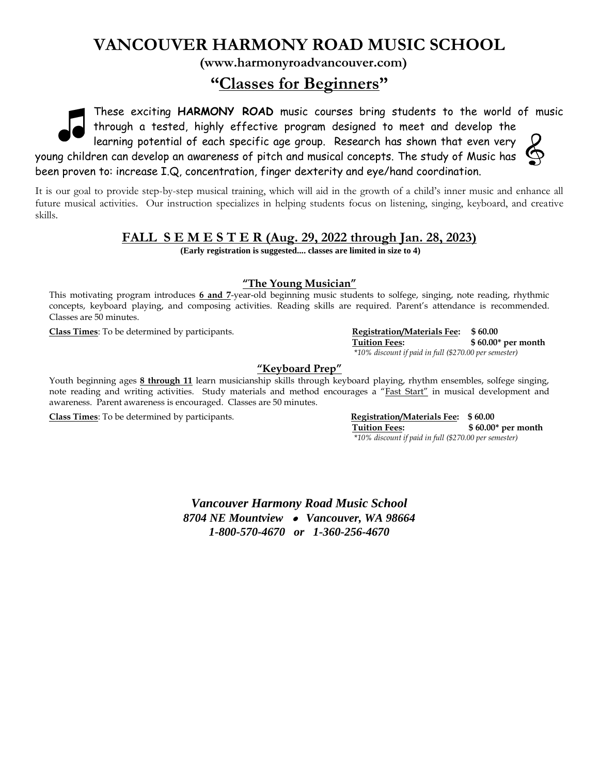# **VANCOUVER HARMONY ROAD MUSIC SCHOOL**

**(www.harmonyroadvancouver.com)**

# **"Classes for Beginners"**

These exciting **HARMONY ROAD** music courses bring students to the world of music through a tested, highly effective program designed to meet and develop the

learning potential of each specific age group. Research has shown that even very young children can develop an awareness of pitch and musical concepts. The study of Music has been proven to: increase I.Q, concentration, finger dexterity and eye/hand coordination.

It is our goal to provide step-by-step musical training, which will aid in the growth of a child's inner music and enhance all future musical activities. Our instruction specializes in helping students focus on listening, singing, keyboard, and creative skills.

## **FALL S E M E S T E R (Aug. 29, 2022 through Jan. 28, 2023)**

**(Early registration is suggested.... classes are limited in size to 4)**

### **"The Young Musician"**

This motivating program introduces **6 and 7**-year-old beginning music students to solfege, singing, note reading, rhythmic concepts, keyboard playing, and composing activities. Reading skills are required. Parent's attendance is recommended. Classes are 50 minutes.

**Class Times**: To be determined by participants. **Registration/Materials Fee: \$ 60.00**

 **Tuition Fees: \$ 60.00\* per month** \**10% discount if paid in full (\$270.00 per semester)*

## **"Keyboard Prep"**

Youth beginning ages **8 through 11** learn musicianship skills through keyboard playing, rhythm ensembles, solfege singing, note reading and writing activities. Study materials and method encourages a "Fast Start" in musical development and awareness. Parent awareness is encouraged. Classes are 50 minutes.

**Class Times**: To be determined by participants. **Registration/Materials Fee: \$ 60.00**

 **Tuition Fees: \$ 60.00\* per month** \**10% discount if paid in full (\$270.00 per semester)*

*Vancouver Harmony Road Music School 8704 NE Mountview* • *Vancouver, WA 98664 1-800-570-4670 or 1-360-256-4670*